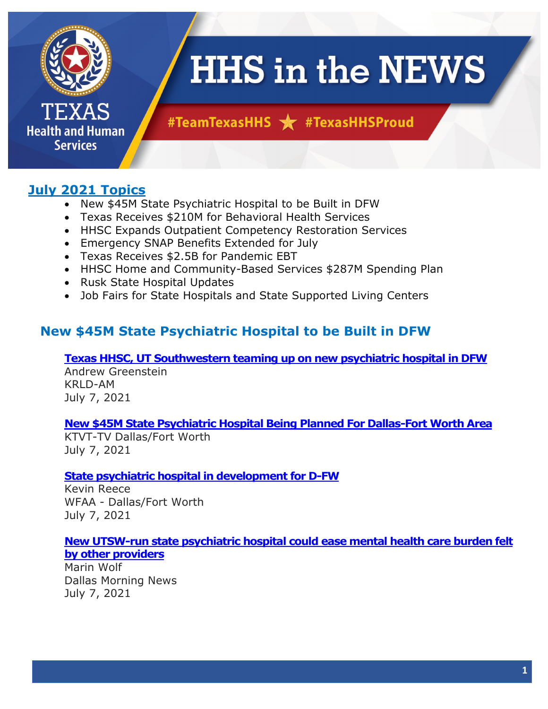

**Health and Human Services** 

# **HHS in the NEWS**

# #TeamTexasHHS \* #TexasHHSProud

# **July 2021 Topics**

- New \$45M State Psychiatric Hospital to be Built in DFW
- Texas Receives \$210M for Behavioral Health Services
- HHSC Expands Outpatient Competency Restoration Services
- Emergency SNAP Benefits Extended for July
- Texas Receives \$2.5B for Pandemic EBT
- HHSC Home and Community-Based Services \$287M Spending Plan
- Rusk State Hospital Updates
- Job Fairs for State Hospitals and State Supported Living Centers

# **New \$45M State Psychiatric Hospital to be Built in DFW**

#### **[Texas HHSC, UT Southwestern teaming up on new psychiatric hospital in DFW](https://www.audacy.com/krld/news/local/new-state-psychiatric-hospital-coming-to-dfw?utm_campaign=www.audacy.com%252Fkrld&utm_content=1625692216&utm_medium=social&utm_source=twitter&utm_term=KRLD-AM)**

Andrew Greenstein KRLD-AM July 7, 2021

# **[New \\$45M State Psychiatric Hospital Being Planned For Dallas-Fort Worth Area](https://dfw.cbslocal.com/2021/07/07/new-state-psychiatric-hospital-planned-dallas-fort-worth/)**

KTVT-TV Dallas/Fort Worth July 7, 2021

# **[State psychiatric hospital in development for D-FW](https://www.wfaa.com/article/news/local/state-psychiatric-hospital-in-development-for-dfw/287-82ad3729-bc9c-4a34-8c1c-9d26094cda17)**

Kevin Reece WFAA - Dallas/Fort Worth July 7, 2021

#### **[New UTSW-run state psychiatric hospital could ease mental health care burden felt](https://www.dallasnews.com/business/health-care/2021/07/07/new-utsw-run-state-psychiatric-hospital-could-ease-mental-health-care-burden-felt-by-other-providers/)  [by other providers](https://www.dallasnews.com/business/health-care/2021/07/07/new-utsw-run-state-psychiatric-hospital-could-ease-mental-health-care-burden-felt-by-other-providers/)**

Marin Wolf Dallas Morning News July 7, 2021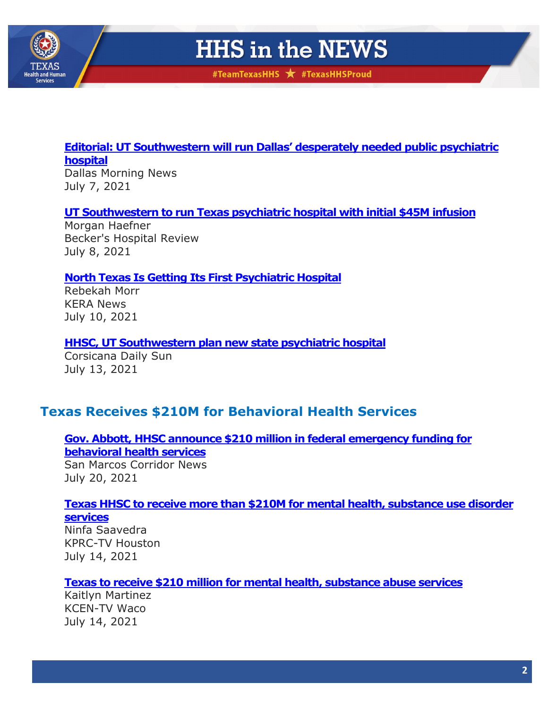

#TeamTexasHHS \* #TexasHHSProud

# **[Editorial: UT Southwestern will run Dallas' desperately needed public psychiatric](https://www.dallasnews.com/opinion/editorials/2021/07/07/ut-southwestern-will-run-dallas-desperately-needed-public-psychiatric-hospital/)  [hospital](https://www.dallasnews.com/opinion/editorials/2021/07/07/ut-southwestern-will-run-dallas-desperately-needed-public-psychiatric-hospital/)**

Dallas Morning News July 7, 2021

# **[UT Southwestern to run Texas psychiatric hospital with initial](https://www.beckershospitalreview.com/capital/ut-southwestern-to-run-texas-psychiatric-hospital-with-initial-45m-infusion.html) \$45M infusion**

Morgan Haefner Becker's Hospital Review July 8, 2021

# **[North Texas Is Getting Its First Psychiatric Hospital](https://www.keranews.org/health-wellness/2021-07-10/north-texas-is-getting-its-first-psychiatric-hospital)**

Rebekah Morr KERA News July 10, 2021

# **[HHSC, UT Southwestern plan new state psychiatric hospital](https://www.corsicanadailysun.com/news/hhsc-ut-southwestern-plan-new-state-psychiatric-hospital/article_e70640da-e33f-11eb-84a9-5f5b49ca976a.html)**

Corsicana Daily Sun July 13, 2021

# **Texas Receives \$210M for Behavioral Health Services**

# **[Gov. Abbott, HHSC announce \\$210 million in federal emergency funding for](https://smcorridornews.com/gov-abbott-hhsc-announce-210-million-in-federal-emergency-funding-for-behavioral-health-services/)  [behavioral health services](https://smcorridornews.com/gov-abbott-hhsc-announce-210-million-in-federal-emergency-funding-for-behavioral-health-services/)**

San Marcos Corridor News July 20, 2021

#### **[Texas HHSC to receive more than \\$210M for mental health, substance use disorder](https://www.click2houston.com/news/texas/2021/07/14/texas-hhsc-to-receive-more-than-210m-for-mental-health-substance-use-disorder-services/)  [services](https://www.click2houston.com/news/texas/2021/07/14/texas-hhsc-to-receive-more-than-210m-for-mental-health-substance-use-disorder-services/)**

Ninfa Saavedra KPRC-TV Houston July 14, 2021

# **[Texas to receive \\$210 million for mental health, substance abuse services](https://www.kcentv.com/article/news/local/texas/texas-210-million-fund-mental-health-substance-abuse-services/500-85b68e3b-cc5a-451e-b274-993477a9a53a)**

Kaitlyn Martinez KCEN-TV Waco July 14, 2021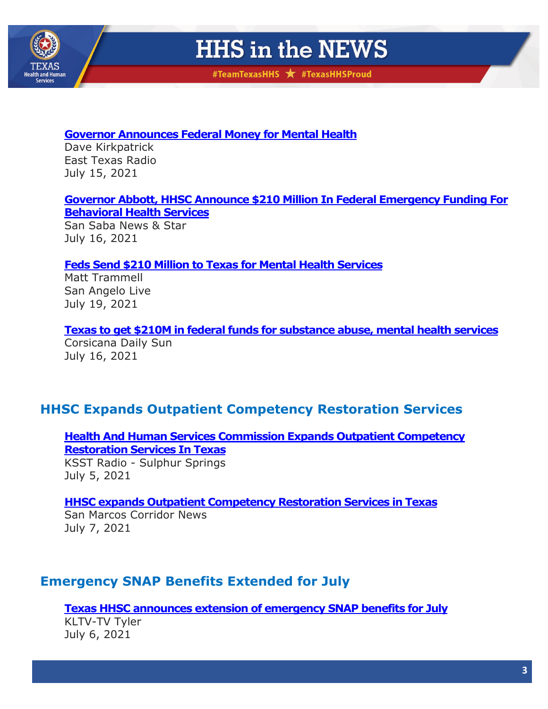

#TeamTexasHHS \* #TexasHHSProud

#### **[Governor Announces Federal Money for Mental Health](https://easttexasradio.com/governor-announces-federal-money-for-mental-health/)**

Dave Kirkpatrick East Texas Radio July 15, 2021

#### **[Governor Abbott, HHSC Announce \\$210 Million In Federal Emergency Funding For](https://www.sansabanews.com/newsletter/governor-abbott-hhsc-announce-210-million-federal-emergency-funding-behavioral-health)  [Behavioral Health Services](https://www.sansabanews.com/newsletter/governor-abbott-hhsc-announce-210-million-federal-emergency-funding-behavioral-health)**

San Saba News & Star July 16, 2021

# **[Feds Send \\$210 Million to Texas for Mental Health Services](https://sanangelolive.com/news/texas/2021-07-19/feds-send-210-million-texas-mental-health-services)**

Matt Trammell San Angelo Live July 19, 2021

**[Texas to get \\$210M in federal funds for substance abuse, mental health services](https://www.corsicanadailysun.com/news/texas-to-get-210m-in-federal-funds-for-substance-abuse-mental-health-services/article_09050070-e4e6-11eb-9f47-9b541dca6226.html)**

Corsicana Daily Sun July 16, 2021

# **HHSC Expands Outpatient Competency Restoration Services**

**[Health And Human Services Commission Expands Outpatient Competency](https://www.ksstradio.com/2021/07/health-and-human-services-commission-expands-outpatient-competency-restoration-services-in-texas/)  [Restoration Services In Texas](https://www.ksstradio.com/2021/07/health-and-human-services-commission-expands-outpatient-competency-restoration-services-in-texas/)**

KSST Radio - Sulphur Springs July 5, 2021

# **[HHSC expands Outpatient Competency Restoration Services in Texas](https://smcorridornews.com/hhsc-expands-outpatient-competency-restoration-services-in-texas/)**

San Marcos Corridor News July 7, 2021

# **Emergency SNAP Benefits Extended for July**

**[Texas HHSC announces extension of emergency](https://www.kltv.com/2021/07/06/texas-hhsc-announces-extension-emergency-snap-benefits-july/) SNAP benefits for July**

KLTV-TV Tyler July 6, 2021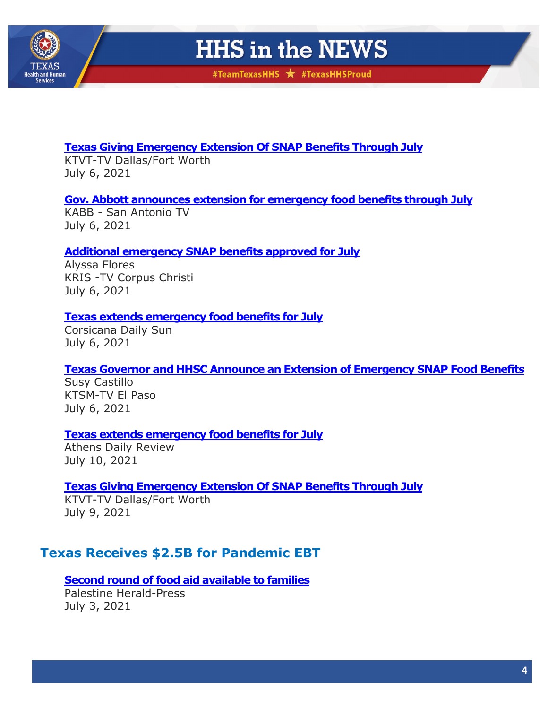

#TeamTexasHHS \* #TexasHHSProud

# **[Texas Giving Emergency Extension Of SNAP Benefits Through July](https://dfw.cbslocal.com/2021/07/09/texas-emergency-extension-snap-benefits-july/)**

KTVT-TV Dallas/Fort Worth July 6, 2021

# **[Gov. Abbott announces extension for emergency food benefits through July](https://foxsanantonio.com/newsletter-daily/gov-abbott-announces-extension-for-emergency-food-benefits-through-july)**

KABB - San Antonio TV July 6, 2021

# **[Additional emergency SNAP benefits approved for July](https://www.kristv.com/news/local-news/abbott-additional-emergency-snap-benefits-being-dispersed-for-july)**

Alyssa Flores KRIS -TV Corpus Christi July 6, 2021

#### **[Texas extends emergency food benefits for July](https://www.corsicanadailysun.com/news/texas-extends-emergency-food-benefits-for-july/article_a9eb5f08-de82-11eb-a5a2-8bb59a621d32.html)**

Corsicana Daily Sun July 6, 2021

#### **[Texas Governor and HHSC Announce an Extension of Emergency SNAP Food Benefits](https://www.ktsm.com/local/el-paso-news/texas-governor-and-hhsc-announce-an-extension-of-emergency-snap-food-benefits/)**

Susy Castillo KTSM-TV El Paso July 6, 2021

#### **[Texas extends emergency food benefits for July](https://www.athensreview.com/news/texas-extends-emergency-food-benefits-for-july/article_49f03a7c-e190-11eb-975d-d7958714f3a6.html)**

Athens Daily Review July 10, 2021

# **Texas Giving Emergency [Extension Of SNAP Benefits Through July](https://dfw.cbslocal.com/2021/07/09/texas-emergency-extension-snap-benefits-july/)**

KTVT-TV Dallas/Fort Worth July 9, 2021

# **Texas Receives \$2.5B for Pandemic EBT**

**[Second round of food aid available to families](https://www.palestineherald.com/education/second-round-of-food-aid-available-to-families/article_3ceee6b4-db7f-11eb-a50e-23a3a30ee8ea.html)** Palestine Herald-Press July 3, 2021